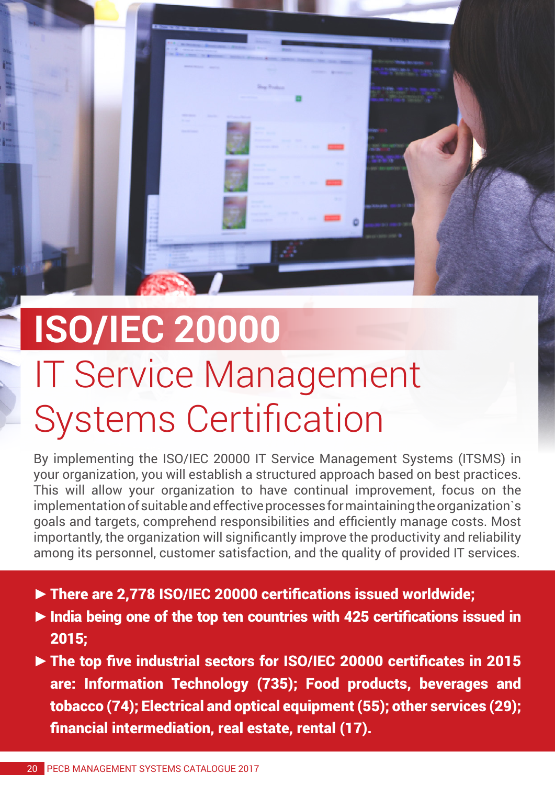

## **ISO/IEC 20000** IT Service Management Systems Certification

By implementing the ISO/IEC 20000 IT Service Management Systems (ITSMS) in your organization, you will establish a structured approach based on best practices. This will allow your organization to have continual improvement, focus on the implementation of suitable and effective processes for maintaining the organization`s goals and targets, comprehend responsibilities and efficiently manage costs. Most importantly, the organization will significantly improve the productivity and reliability among its personnel, customer satisfaction, and the quality of provided IT services.

- **►**There are 2,778 ISO/IEC 20000 certifications issued worldwide;
- **►**India being one of the top ten countries with 425 certifications issued in 2015;
- **►**The top five industrial sectors for ISO/IEC 20000 certificates in 2015 are: Information Technology (735); Food products, beverages and tobacco (74); Electrical and optical equipment (55); other services (29); financial intermediation, real estate, rental (17).